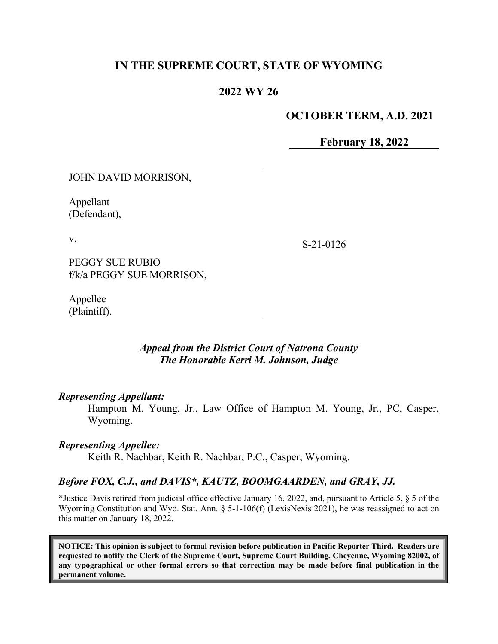## **IN THE SUPREME COURT, STATE OF WYOMING**

### **2022 WY 26**

### **OCTOBER TERM, A.D. 2021**

**February 18, 2022**

JOHN DAVID MORRISON,

Appellant (Defendant),

v.

S-21-0126

PEGGY SUE RUBIO f/k/a PEGGY SUE MORRISON,

Appellee (Plaintiff).

## *Appeal from the District Court of Natrona County The Honorable Kerri M. Johnson, Judge*

#### *Representing Appellant:*

Hampton M. Young, Jr., Law Office of Hampton M. Young, Jr., PC, Casper, Wyoming.

#### *Representing Appellee:*

Keith R. Nachbar, Keith R. Nachbar, P.C., Casper, Wyoming.

#### *Before FOX, C.J., and DAVIS\*, KAUTZ, BOOMGAARDEN, and GRAY, JJ.*

\*Justice Davis retired from judicial office effective January 16, 2022, and, pursuant to Article 5, § 5 of the Wyoming Constitution and Wyo. Stat. Ann. § 5-1-106(f) (LexisNexis 2021), he was reassigned to act on this matter on January 18, 2022.

**NOTICE: This opinion is subject to formal revision before publication in Pacific Reporter Third. Readers are requested to notify the Clerk of the Supreme Court, Supreme Court Building, Cheyenne, Wyoming 82002, of any typographical or other formal errors so that correction may be made before final publication in the permanent volume.**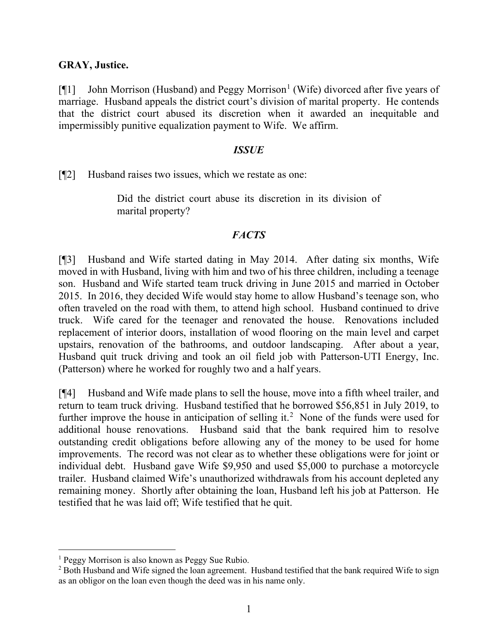### **GRAY, Justice.**

[ $[$ [[1](#page-1-0)] John Morrison (Husband) and Peggy Morrison<sup>1</sup> (Wife) divorced after five years of marriage. Husband appeals the district court's division of marital property. He contends that the district court abused its discretion when it awarded an inequitable and impermissibly punitive equalization payment to Wife. We affirm.

#### *ISSUE*

[¶2] Husband raises two issues, which we restate as one:

Did the district court abuse its discretion in its division of marital property?

### *FACTS*

[¶3] Husband and Wife started dating in May 2014. After dating six months, Wife moved in with Husband, living with him and two of his three children, including a teenage son. Husband and Wife started team truck driving in June 2015 and married in October 2015. In 2016, they decided Wife would stay home to allow Husband's teenage son, who often traveled on the road with them, to attend high school. Husband continued to drive truck. Wife cared for the teenager and renovated the house. Renovations included replacement of interior doors, installation of wood flooring on the main level and carpet upstairs, renovation of the bathrooms, and outdoor landscaping. After about a year, Husband quit truck driving and took an oil field job with Patterson-UTI Energy, Inc. (Patterson) where he worked for roughly two and a half years.

[¶4] Husband and Wife made plans to sell the house, move into a fifth wheel trailer, and return to team truck driving. Husband testified that he borrowed \$56,851 in July 2019, to further improve the house in anticipation of selling it.<sup>[2](#page-1-1)</sup> None of the funds were used for additional house renovations. Husband said that the bank required him to resolve outstanding credit obligations before allowing any of the money to be used for home improvements. The record was not clear as to whether these obligations were for joint or individual debt. Husband gave Wife \$9,950 and used \$5,000 to purchase a motorcycle trailer. Husband claimed Wife's unauthorized withdrawals from his account depleted any remaining money. Shortly after obtaining the loan, Husband left his job at Patterson. He testified that he was laid off; Wife testified that he quit.

<span id="page-1-0"></span><sup>&</sup>lt;sup>1</sup> Peggy Morrison is also known as Peggy Sue Rubio.

<span id="page-1-1"></span><sup>&</sup>lt;sup>2</sup> Both Husband and Wife signed the loan agreement. Husband testified that the bank required Wife to sign as an obligor on the loan even though the deed was in his name only.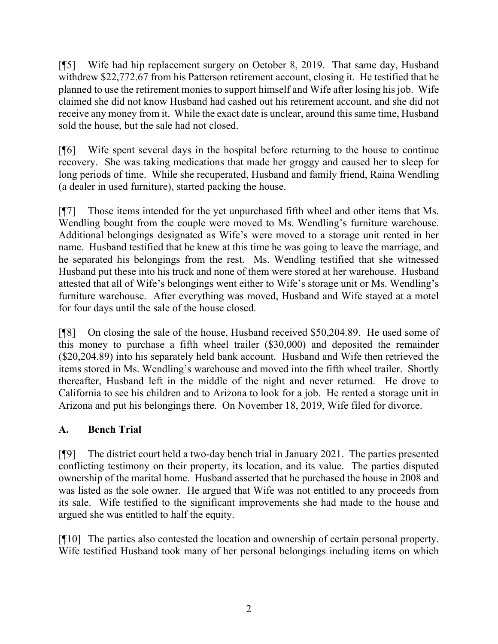[¶5] Wife had hip replacement surgery on October 8, 2019. That same day, Husband withdrew \$22,772.67 from his Patterson retirement account, closing it. He testified that he planned to use the retirement monies to support himself and Wife after losing his job. Wife claimed she did not know Husband had cashed out his retirement account, and she did not receive any money from it. While the exact date is unclear, around this same time, Husband sold the house, but the sale had not closed.

[¶6] Wife spent several days in the hospital before returning to the house to continue recovery. She was taking medications that made her groggy and caused her to sleep for long periods of time. While she recuperated, Husband and family friend, Raina Wendling (a dealer in used furniture), started packing the house.

[¶7] Those items intended for the yet unpurchased fifth wheel and other items that Ms. Wendling bought from the couple were moved to Ms. Wendling's furniture warehouse. Additional belongings designated as Wife's were moved to a storage unit rented in her name. Husband testified that he knew at this time he was going to leave the marriage, and he separated his belongings from the rest. Ms. Wendling testified that she witnessed Husband put these into his truck and none of them were stored at her warehouse. Husband attested that all of Wife's belongings went either to Wife's storage unit or Ms. Wendling's furniture warehouse. After everything was moved, Husband and Wife stayed at a motel for four days until the sale of the house closed.

[¶8] On closing the sale of the house, Husband received \$50,204.89. He used some of this money to purchase a fifth wheel trailer (\$30,000) and deposited the remainder (\$20,204.89) into his separately held bank account. Husband and Wife then retrieved the items stored in Ms. Wendling's warehouse and moved into the fifth wheel trailer. Shortly thereafter, Husband left in the middle of the night and never returned. He drove to California to see his children and to Arizona to look for a job. He rented a storage unit in Arizona and put his belongings there. On November 18, 2019, Wife filed for divorce.

# **A. Bench Trial**

[¶9] The district court held a two-day bench trial in January 2021. The parties presented conflicting testimony on their property, its location, and its value. The parties disputed ownership of the marital home. Husband asserted that he purchased the house in 2008 and was listed as the sole owner. He argued that Wife was not entitled to any proceeds from its sale. Wife testified to the significant improvements she had made to the house and argued she was entitled to half the equity.

[¶10] The parties also contested the location and ownership of certain personal property. Wife testified Husband took many of her personal belongings including items on which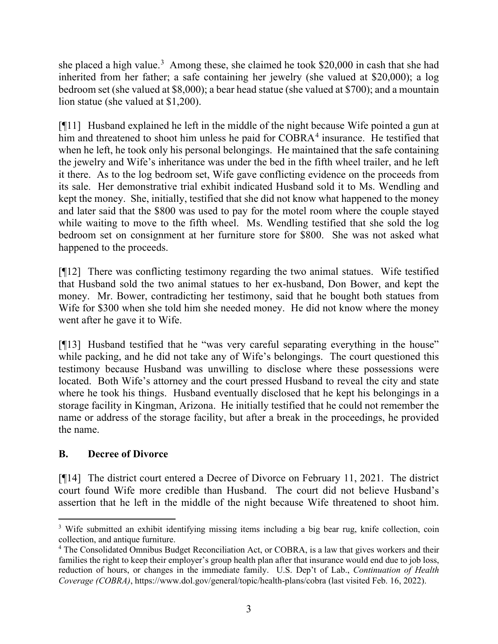she placed a high value.<sup>[3](#page-3-0)</sup> Among these, she claimed he took \$20,000 in cash that she had inherited from her father; a safe containing her jewelry (she valued at \$20,000); a log bedroom set (she valued at \$8,000); a bear head statue (she valued at \$700); and a mountain lion statue (she valued at \$1,200).

[¶11] Husband explained he left in the middle of the night because Wife pointed a gun at him and threatened to shoot him unless he paid for COBRA<sup>[4](#page-3-1)</sup> insurance. He testified that when he left, he took only his personal belongings. He maintained that the safe containing the jewelry and Wife's inheritance was under the bed in the fifth wheel trailer, and he left it there. As to the log bedroom set, Wife gave conflicting evidence on the proceeds from its sale. Her demonstrative trial exhibit indicated Husband sold it to Ms. Wendling and kept the money. She, initially, testified that she did not know what happened to the money and later said that the \$800 was used to pay for the motel room where the couple stayed while waiting to move to the fifth wheel. Ms. Wendling testified that she sold the log bedroom set on consignment at her furniture store for \$800. She was not asked what happened to the proceeds.

[¶12] There was conflicting testimony regarding the two animal statues. Wife testified that Husband sold the two animal statues to her ex-husband, Don Bower, and kept the money. Mr. Bower, contradicting her testimony, said that he bought both statues from Wife for \$300 when she told him she needed money. He did not know where the money went after he gave it to Wife.

[¶13] Husband testified that he "was very careful separating everything in the house" while packing, and he did not take any of Wife's belongings. The court questioned this testimony because Husband was unwilling to disclose where these possessions were located. Both Wife's attorney and the court pressed Husband to reveal the city and state where he took his things. Husband eventually disclosed that he kept his belongings in a storage facility in Kingman, Arizona. He initially testified that he could not remember the name or address of the storage facility, but after a break in the proceedings, he provided the name.

# **B. Decree of Divorce**

[¶14] The district court entered a Decree of Divorce on February 11, 2021. The district court found Wife more credible than Husband. The court did not believe Husband's assertion that he left in the middle of the night because Wife threatened to shoot him.

<span id="page-3-0"></span><sup>&</sup>lt;sup>3</sup> Wife submitted an exhibit identifying missing items including a big bear rug, knife collection, coin collection, and antique furniture.

<span id="page-3-1"></span><sup>&</sup>lt;sup>4</sup> The Consolidated Omnibus Budget Reconciliation Act, or COBRA, is a law that gives workers and their families the right to keep their employer's group health plan after that insurance would end due to job loss, reduction of hours, or changes in the immediate family. U.S. Dep't of Lab., *Continuation of Health Coverage (COBRA)*, https://www.dol.gov/general/topic/health-plans/cobra (last visited Feb. 16, 2022).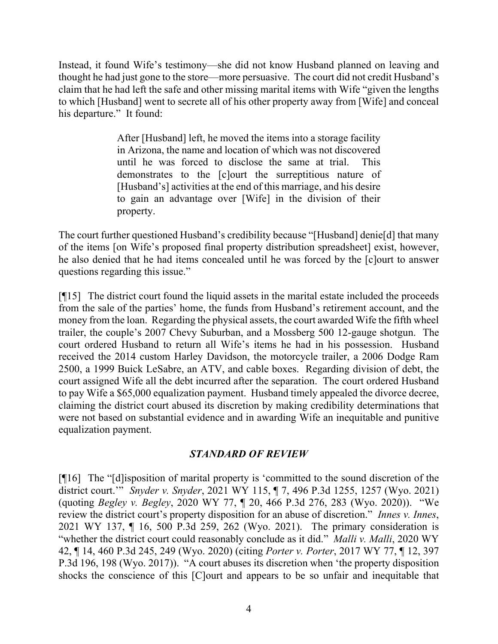Instead, it found Wife's testimony—she did not know Husband planned on leaving and thought he had just gone to the store—more persuasive. The court did not credit Husband's claim that he had left the safe and other missing marital items with Wife "given the lengths to which [Husband] went to secrete all of his other property away from [Wife] and conceal his departure." It found:

> After [Husband] left, he moved the items into a storage facility in Arizona, the name and location of which was not discovered until he was forced to disclose the same at trial. This demonstrates to the [c]ourt the surreptitious nature of [Husband's] activities at the end of this marriage, and his desire to gain an advantage over [Wife] in the division of their property.

The court further questioned Husband's credibility because "[Husband] denie[d] that many of the items [on Wife's proposed final property distribution spreadsheet] exist, however, he also denied that he had items concealed until he was forced by the [c]ourt to answer questions regarding this issue."

[¶15] The district court found the liquid assets in the marital estate included the proceeds from the sale of the parties' home, the funds from Husband's retirement account, and the money from the loan. Regarding the physical assets, the court awarded Wife the fifth wheel trailer, the couple's 2007 Chevy Suburban, and a Mossberg 500 12-gauge shotgun. The court ordered Husband to return all Wife's items he had in his possession. Husband received the 2014 custom Harley Davidson, the motorcycle trailer, a 2006 Dodge Ram 2500, a 1999 Buick LeSabre, an ATV, and cable boxes. Regarding division of debt, the court assigned Wife all the debt incurred after the separation. The court ordered Husband to pay Wife a \$65,000 equalization payment. Husband timely appealed the divorce decree, claiming the district court abused its discretion by making credibility determinations that were not based on substantial evidence and in awarding Wife an inequitable and punitive equalization payment.

## *STANDARD OF REVIEW*

[¶16] The "[d]isposition of marital property is 'committed to the sound discretion of the district court.'" *Snyder v. Snyder*, 2021 WY 115, ¶ 7, 496 P.3d 1255, 1257 (Wyo. 2021) (quoting *Begley v. Begley*, 2020 WY 77, ¶ 20, 466 P.3d 276, 283 (Wyo. 2020)). "We review the district court's property disposition for an abuse of discretion." *Innes v. Innes*, 2021 WY 137, ¶ 16, 500 P.3d 259, 262 (Wyo. 2021). The primary consideration is "whether the district court could reasonably conclude as it did." *Malli v. Malli*, 2020 WY 42, ¶ 14, 460 P.3d 245, 249 (Wyo. 2020) (citing *Porter v. Porter*, 2017 WY 77, ¶ 12, 397 P.3d 196, 198 (Wyo. 2017)). "A court abuses its discretion when 'the property disposition shocks the conscience of this [C]ourt and appears to be so unfair and inequitable that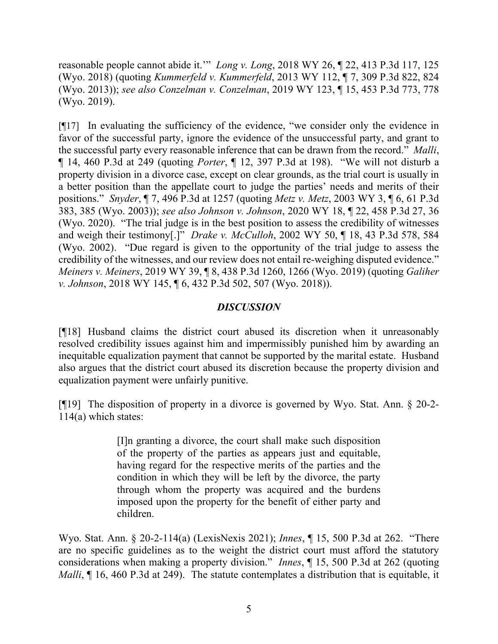reasonable people cannot abide it.'" *Long v. Long*, 2018 WY 26, ¶ 22, 413 P.3d 117, 125 (Wyo. 2018) (quoting *Kummerfeld v. Kummerfeld*, 2013 WY 112, ¶ 7, 309 P.3d 822, 824 (Wyo. 2013)); *see also Conzelman v. Conzelman*, 2019 WY 123, ¶ 15, 453 P.3d 773, 778 (Wyo. 2019).

[¶17] In evaluating the sufficiency of the evidence, "we consider only the evidence in favor of the successful party, ignore the evidence of the unsuccessful party, and grant to the successful party every reasonable inference that can be drawn from the record." *Malli*, ¶ 14, 460 P.3d at 249 (quoting *Porter*, ¶ 12, 397 P.3d at 198). "We will not disturb a property division in a divorce case, except on clear grounds, as the trial court is usually in a better position than the appellate court to judge the parties' needs and merits of their positions." *Snyder*, ¶ 7, 496 P.3d at 1257 (quoting *Metz v. Metz*, 2003 WY 3, ¶ 6, 61 P.3d 383, 385 (Wyo. 2003)); *see also Johnson v. Johnson*, 2020 WY 18, ¶ 22, 458 P.3d 27, 36 (Wyo. 2020). "The trial judge is in the best position to assess the credibility of witnesses and weigh their testimony[.]" *Drake v. McCulloh*, 2002 WY 50, ¶ 18, 43 P.3d 578, 584 (Wyo. 2002). "Due regard is given to the opportunity of the trial judge to assess the credibility of the witnesses, and our review does not entail re-weighing disputed evidence." *Meiners v. Meiners*, 2019 WY 39, ¶ 8, 438 P.3d 1260, 1266 (Wyo. 2019) (quoting *Galiher v. Johnson*, 2018 WY 145, ¶ 6, 432 P.3d 502, 507 (Wyo. 2018)).

# *DISCUSSION*

[¶18] Husband claims the district court abused its discretion when it unreasonably resolved credibility issues against him and impermissibly punished him by awarding an inequitable equalization payment that cannot be supported by the marital estate. Husband also argues that the district court abused its discretion because the property division and equalization payment were unfairly punitive.

[¶19] The disposition of property in a divorce is governed by Wyo. Stat. Ann. § 20-2- 114(a) which states:

> [I]n granting a divorce, the court shall make such disposition of the property of the parties as appears just and equitable, having regard for the respective merits of the parties and the condition in which they will be left by the divorce, the party through whom the property was acquired and the burdens imposed upon the property for the benefit of either party and children.

Wyo. Stat. Ann. § 20-2-114(a) (LexisNexis 2021); *Innes*, ¶ 15, 500 P.3d at 262. "There are no specific guidelines as to the weight the district court must afford the statutory considerations when making a property division." *Innes*, ¶ 15, 500 P.3d at 262 (quoting *Malli*,  $\P$  16, 460 P.3d at 249). The statute contemplates a distribution that is equitable, it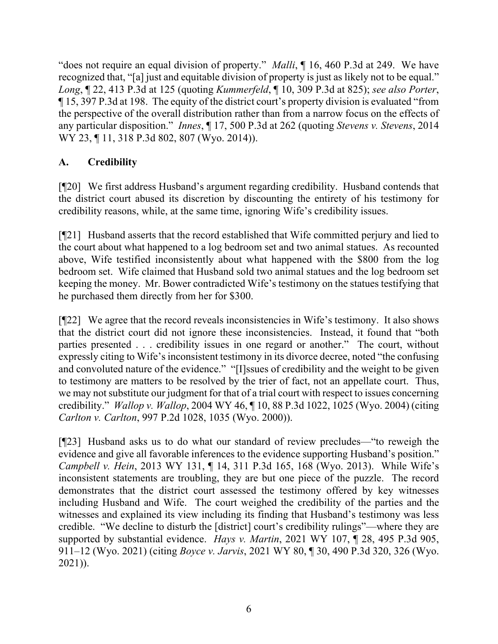"does not require an equal division of property." *Malli*, ¶ 16, 460 P.3d at 249. We have recognized that, "[a] just and equitable division of property is just as likely not to be equal." *Long*, ¶ 22, 413 P.3d at 125 (quoting *Kummerfeld*, ¶ 10, 309 P.3d at 825); *see also Porter*, ¶ 15, 397 P.3d at 198. The equity of the district court's property division is evaluated "from the perspective of the overall distribution rather than from a narrow focus on the effects of any particular disposition." *Innes*, ¶ 17, 500 P.3d at 262 (quoting *Stevens v. Stevens*, 2014 WY 23, ¶ 11, 318 P.3d 802, 807 (Wyo. 2014)).

# **A. Credibility**

[¶20] We first address Husband's argument regarding credibility. Husband contends that the district court abused its discretion by discounting the entirety of his testimony for credibility reasons, while, at the same time, ignoring Wife's credibility issues.

[¶21] Husband asserts that the record established that Wife committed perjury and lied to the court about what happened to a log bedroom set and two animal statues. As recounted above, Wife testified inconsistently about what happened with the \$800 from the log bedroom set. Wife claimed that Husband sold two animal statues and the log bedroom set keeping the money. Mr. Bower contradicted Wife's testimony on the statues testifying that he purchased them directly from her for \$300.

[¶22] We agree that the record reveals inconsistencies in Wife's testimony. It also shows that the district court did not ignore these inconsistencies. Instead, it found that "both parties presented . . . credibility issues in one regard or another." The court, without expressly citing to Wife's inconsistent testimony in its divorce decree, noted "the confusing and convoluted nature of the evidence." "[I]ssues of credibility and the weight to be given to testimony are matters to be resolved by the trier of fact, not an appellate court. Thus, we may not substitute our judgment for that of a trial court with respect to issues concerning credibility." *Wallop v. Wallop*, 2004 WY 46, ¶ 10, 88 P.3d 1022, 1025 (Wyo. 2004) (citing *Carlton v. Carlton*, 997 P.2d 1028, 1035 (Wyo. 2000)).

[¶23] Husband asks us to do what our standard of review precludes—"to reweigh the evidence and give all favorable inferences to the evidence supporting Husband's position." *Campbell v. Hein*, 2013 WY 131, ¶ 14, 311 P.3d 165, 168 (Wyo. 2013). While Wife's inconsistent statements are troubling, they are but one piece of the puzzle. The record demonstrates that the district court assessed the testimony offered by key witnesses including Husband and Wife. The court weighed the credibility of the parties and the witnesses and explained its view including its finding that Husband's testimony was less credible. "We decline to disturb the [district] court's credibility rulings"—where they are supported by substantial evidence. *Hays v. Martin*, 2021 WY 107, ¶ 28, 495 P.3d 905, 911–12 (Wyo. 2021) (citing *Boyce v. Jarvis*, 2021 WY 80, ¶ 30, 490 P.3d 320, 326 (Wyo. 2021)).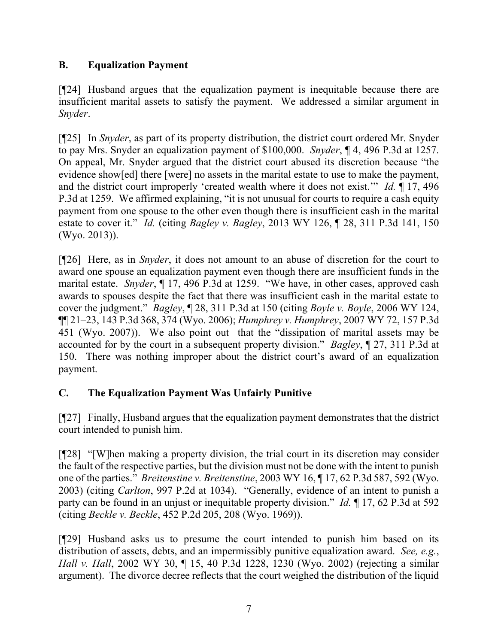# **B. Equalization Payment**

[¶24] Husband argues that the equalization payment is inequitable because there are insufficient marital assets to satisfy the payment. We addressed a similar argument in *Snyder*.

[¶25] In *Snyder*, as part of its property distribution, the district court ordered Mr. Snyder to pay Mrs. Snyder an equalization payment of \$100,000. *Snyder*, ¶ 4, 496 P.3d at 1257. On appeal, Mr. Snyder argued that the district court abused its discretion because "the evidence show[ed] there [were] no assets in the marital estate to use to make the payment, and the district court improperly 'created wealth where it does not exist.'" *Id.* ¶ 17, 496 P.3d at 1259. We affirmed explaining, "it is not unusual for courts to require a cash equity payment from one spouse to the other even though there is insufficient cash in the marital estate to cover it." *Id.* (citing *Bagley v. Bagley*, 2013 WY 126, ¶ 28, 311 P.3d 141, 150 (Wyo. 2013)).

[¶26] Here, as in *Snyder*, it does not amount to an abuse of discretion for the court to award one spouse an equalization payment even though there are insufficient funds in the marital estate. *Snyder*, ¶ 17, 496 P.3d at 1259. "We have, in other cases, approved cash awards to spouses despite the fact that there was insufficient cash in the marital estate to cover the judgment." *Bagley*, ¶ 28, 311 P.3d at 150 (citing *Boyle v. Boyle*, 2006 WY 124, ¶¶ 21–23, 143 P.3d 368, 374 (Wyo. 2006); *Humphrey v. Humphrey*, 2007 WY 72, 157 P.3d 451 (Wyo. 2007)). We also point out that the "dissipation of marital assets may be accounted for by the court in a subsequent property division." *Bagley*, ¶ 27, 311 P.3d at 150. There was nothing improper about the district court's award of an equalization payment.

# **C. The Equalization Payment Was Unfairly Punitive**

[¶27] Finally, Husband argues that the equalization payment demonstrates that the district court intended to punish him.

[¶28] "[W]hen making a property division, the trial court in its discretion may consider the fault of the respective parties, but the division must not be done with the intent to punish one of the parties." *Breitenstine v. Breitenstine*, 2003 WY 16, ¶ 17, 62 P.3d 587, 592 (Wyo. 2003) (citing *Carlton*, 997 P.2d at 1034). "Generally, evidence of an intent to punish a party can be found in an unjust or inequitable property division." *Id.* ¶ 17, 62 P.3d at 592 (citing *Beckle v. Beckle*, 452 P.2d 205, 208 (Wyo. 1969)).

[¶29] Husband asks us to presume the court intended to punish him based on its distribution of assets, debts, and an impermissibly punitive equalization award. *See, e.g.*, *Hall v. Hall*, 2002 WY 30, ¶ 15, 40 P.3d 1228, 1230 (Wyo. 2002) (rejecting a similar argument). The divorce decree reflects that the court weighed the distribution of the liquid